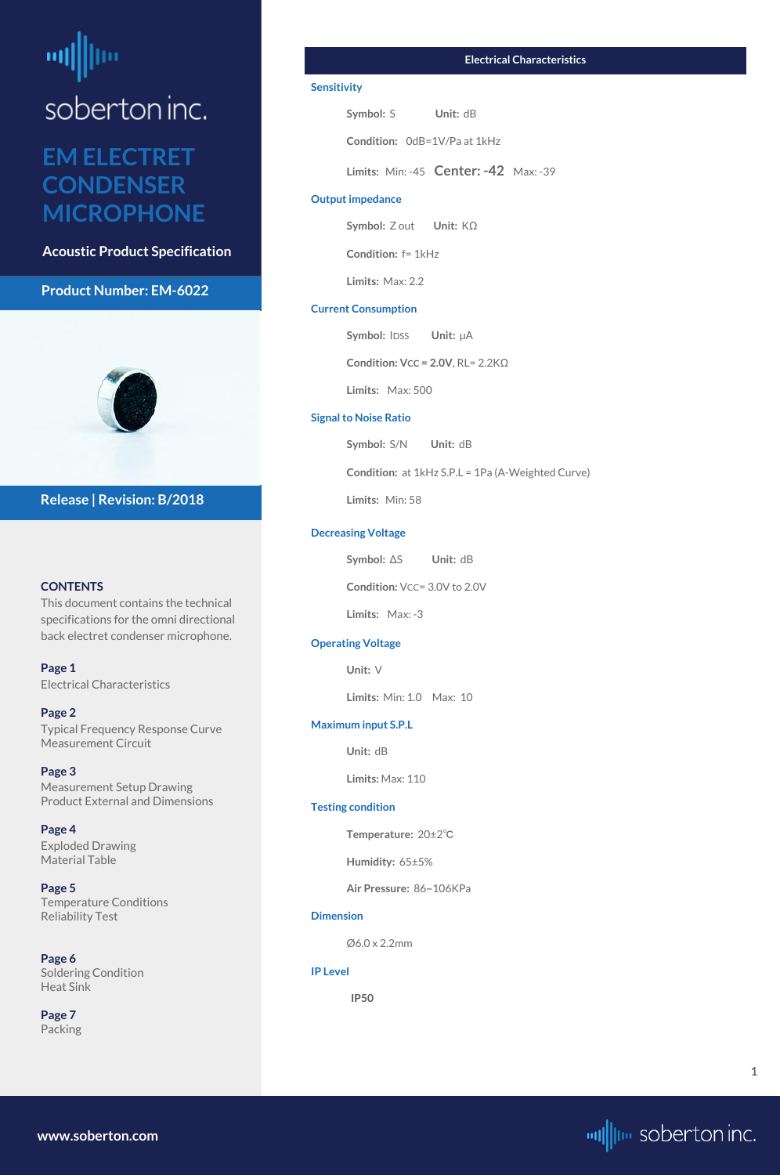# <span id="page-0-0"></span>ᆒ soberton inc.

## **EM ELECTRET CONDENSER MICROPHONE**

**Acoustic Product Specification**

#### **Product Number: EM-6022**



#### **CONTENTS**

This document contains the technical specifications for the omni directional back electret condenser microphone.

**Page 1** Electrical Characteristics

#### **[Page 2](#page-1-0)**

[Typical Frequency Response Curve](#page-1-0) [Measurement Circuit](#page-1-0)

**[Page 3](#page-2-0)** [Measurement Setup Drawing](#page-2-0) [Product External and Dimensions](#page-2-0)

**[Page 4](#page-3-0)** [Exploded Drawing](#page-3-0)  [Material Table](#page-3-0)

**Symbol: IDSS Unit:**  $\mu$ A **Condition: VCC = 2.0V**, RL= 2.2KΩ

**[Page 5](#page-4-0)** [Temperature Conditions](#page-4-0) [Reliability Test](#page-4-0)

**[Page 6](#page-5-0)** [Soldering Condition](#page-5-0) [Heat Sink](#page-5-0)

**[Page](#page-6-0) 7** [Packing](#page-6-0)

#### **Release | Revision: B/2018**

**[www.soberton.com](http://www.soberton.com)**



**1**

#### **Electrical Characteristics**

#### **Sensitivity**

**Symbol: S Unit: dB** 

**Condition:** 0dB=1V/Pa at 1kHz

**Limits:** Min: -45 **Center: -42** Max: -39

#### **Output impedance**

**Symbol:** Z out **Unit:** KΩ

**Condition:** f= 1kHz

**Limits:** Max: 2.2

#### **Current Consumption**

**Limits:** Max: 500

#### **Signal to Noise Ratio**

**Symbol:** S/N **Unit:** dB

**Condition:** at 1kHz S.P.L = 1Pa (A-Weighted Curve)

**Limits:** Min: 58

#### **Decreasing Voltage**

**Symbol:** ΔS **Unit:** dB

**Condition:** VCC= 3.0V to 2.0V

**Limits:** Max: -3

#### **Operating Voltage**

**Unit:** V

**Limits:** Min: 1.0 Max: 10

#### **Maximum input S.P.L**

**Unit:** dB

**Limits:** Max: 110

#### **Testing condition**

**Temperature:** 20±2℃

**Humidity:** 65±5%

**Air Pressure:** 86~106KPa

#### **Dimension**

Ø6.0 x 2.2mm

**IP Level**

 **IP50**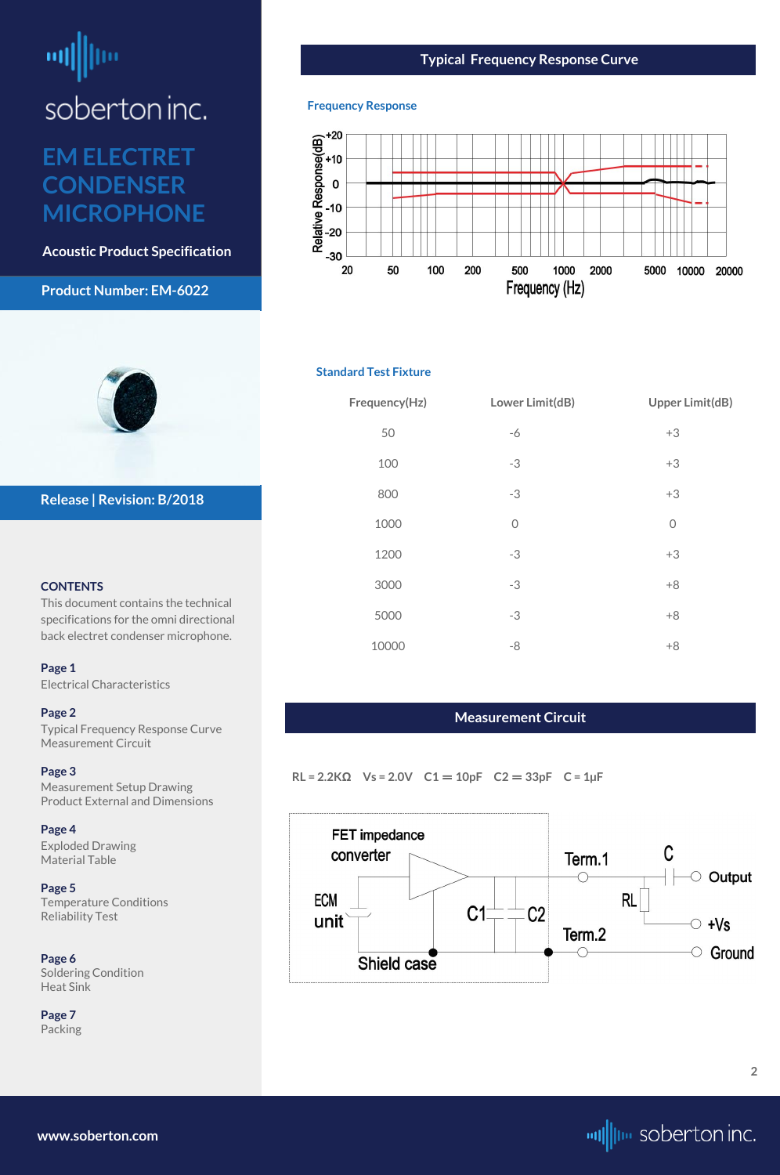# <span id="page-1-0"></span>뻬

soberton inc.

## **EM ELECTRET CONDENSER MICROPHONE**

**Acoustic Product Specification**

#### **Product Number: EM-6022**



#### **CONTENTS**

This document contains the technical specifications for the omni directional back electret condenser microphone.

**[Page 1](#page-0-0)** [Electrical Characteri](#page-0-0)stics

#### **Page 2**

Typical Frequency Response Curve Measurement Circuit

#### **[Page 3](#page-2-0)**

[Measurement Setup Drawing](#page-2-0) [Product External and Dimensions](#page-2-0)

#### **[Page 4](#page-3-0)**

[Exploded Drawing](#page-3-0)  [Material Table](#page-3-0)

**[Page 5](#page-4-0)** [Temperature Conditions](#page-4-0) [Reliability Test](#page-4-0)

**[Page 6](#page-5-0)** [Soldering Condition](#page-5-0) [Heat Sink](#page-5-0)

**[Page](#page-6-0) 7** [Packing](#page-6-0)

**Release | Revision: B/2018**

**[www.soberton.com](http://www.soberton.com)**



#### **Typical Frequency Response Curve**

#### **Frequency Response**



#### **Standard Test Fixture**

| Frequency(Hz) | Lower Limit(dB) | <b>Upper Limit(dB)</b> |
|---------------|-----------------|------------------------|
| 50            | $-6$            | $+3$                   |
| 100           | $-3$            | $+3$                   |
| 800           | $-3$            | $+3$                   |
| 1000          | $\overline{0}$  | $\overline{O}$         |
| 1200          | $-3$            | $+3$                   |
| 3000          | $-3$            | $+8$                   |
| 5000          | $-3$            | $+8$                   |
| 10000         | -8              | $+8$                   |

#### **Measurement Circuit**

**RL = 2.2KΩ Vs = 2.0V C1** = **10pF C2** = **33pF C = 1µF**

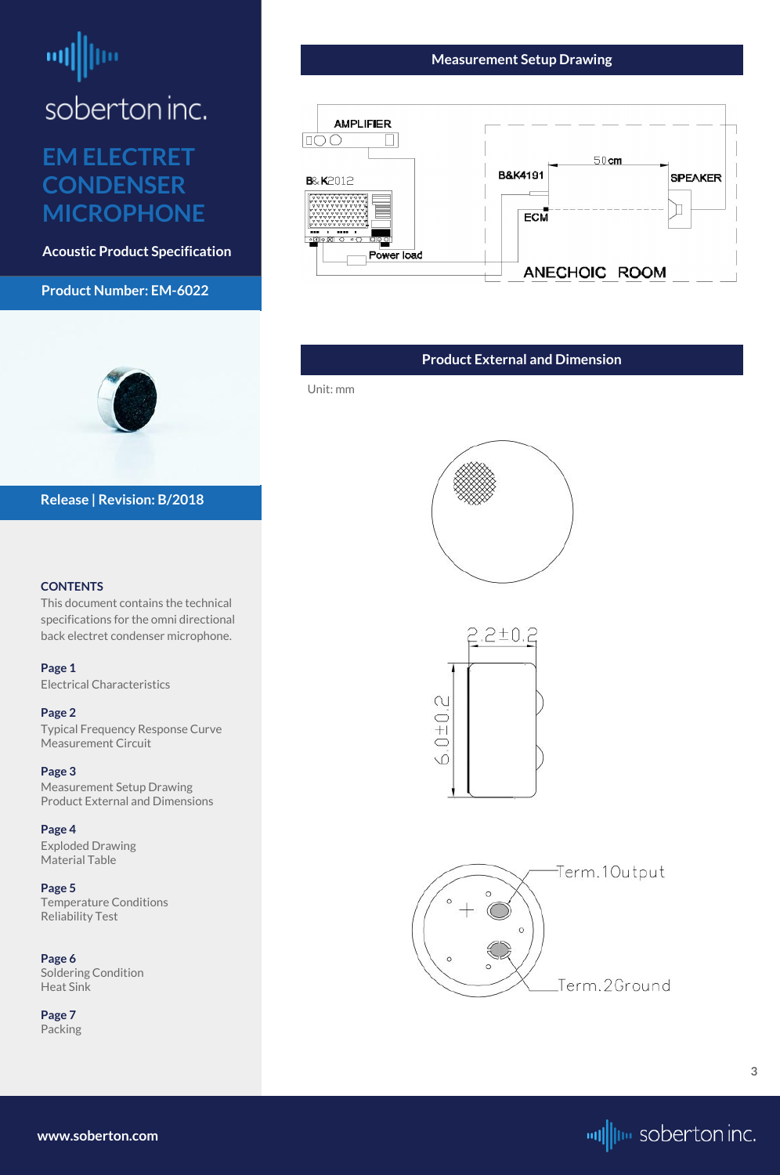# <span id="page-2-0"></span>画

soberton inc.

## **EM ELECTRET CONDENSER MICROPHONE**

**Acoustic Product Specification**

#### **Product Number: EM-6022**



#### **CONTENTS**

This document contains the technical specifications for the omni directional back electret condenser microphone.

**[Page 1](#page-0-0)** [Electrical Characteri](#page-0-0)stics

#### **[Page 2](#page-1-0)**

[Typical Frequency Response Curve](#page-1-0) [Measurement Circuit](#page-1-0)

#### **Page 3**

Measurement Setup Drawing Product External and Dimensions

#### **[Page 4](#page-3-0)**

[Exploded Drawing](#page-3-0)  [Material Table](#page-3-0)

**[Page 5](#page-4-0)** [Temperature Conditions](#page-4-0) [Reliability Test](#page-4-0)

**[Page 6](#page-5-0)** [Soldering Condition](#page-5-0) [Heat Sink](#page-5-0)

**[Page](#page-6-0) 7** [Packing](#page-6-0)



#### **Release | Revision: B/2018**



#### **Measurement Setup Drawing**



#### **Product External and Dimension**

Unit: mm





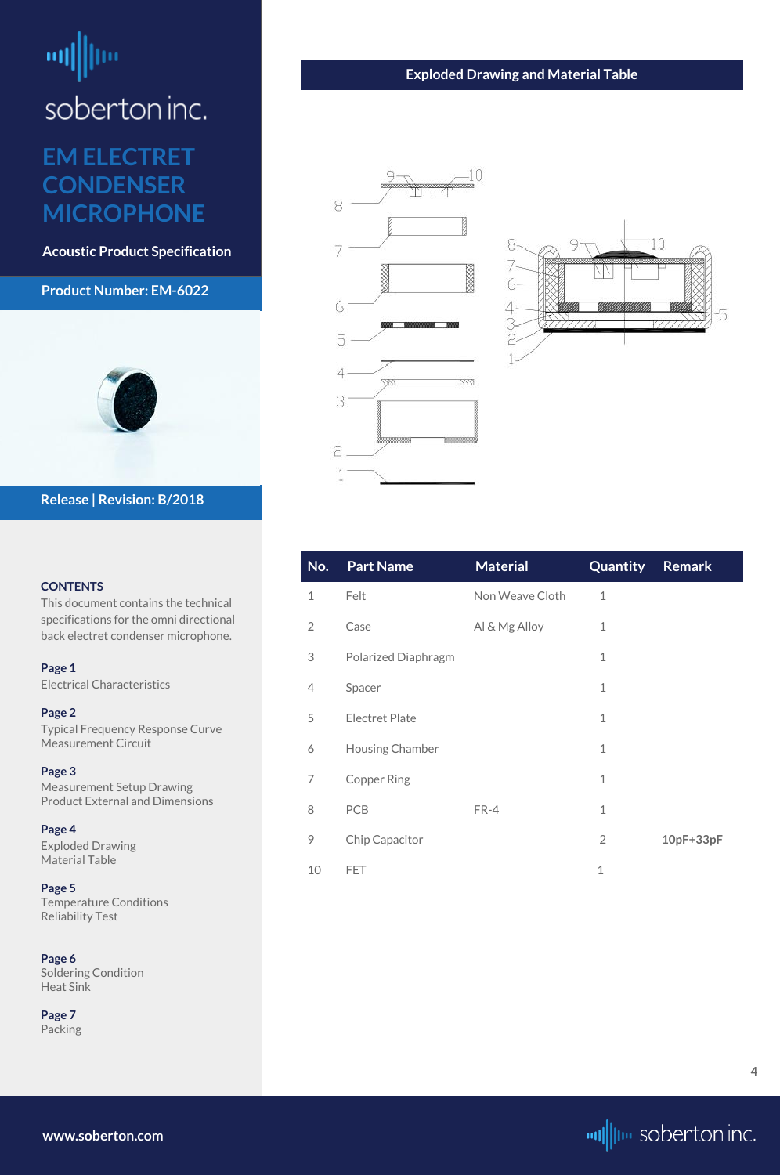# <span id="page-3-0"></span>шĮ

## soberton inc.

### **EM ELECTRET CONDENSER MICROPHONE**

**Acoustic Product Specification**

#### **Product Number: EM-6022**



#### **CONTENTS**

This document contains the technical specifications for the omni directional back electret condenser microphone.

**[Page 1](#page-0-0)** [Electrical Characteri](#page-0-0)stics

**[Page 2](#page-1-0)** [Typical Frequency Response Curve](#page-1-0) [Measurement Circuit](#page-1-0)

**[Page 3](#page-2-0)** [Measurement Setup Drawing](#page-2-0) [Product External and Dimensions](#page-2-0)

**Page 4** Exploded Drawing Material Table

**[Page 5](#page-4-0)** [Temperature Conditions](#page-4-0) [Reliability Test](#page-4-0)

**[Page 6](#page-5-0)** [Soldering Condition](#page-5-0) [Heat Sink](#page-5-0)

**[Page](#page-6-0) 7** [Packing](#page-6-0)

#### **Release | Revision: B/2018**

**www.soberton.com**



| No.            | <b>Part Name</b>           | <b>Material</b> | Quantity       | <b>Remark</b> |
|----------------|----------------------------|-----------------|----------------|---------------|
| $\mathbf 1$    | Felt                       | Non Weave Cloth | $\mathbf 1$    |               |
| $\overline{2}$ | Case                       | Al & Mg Alloy   | $\mathbf 1$    |               |
| 3              | <b>Polarized Diaphragm</b> |                 | $\mathbf{1}$   |               |
| 4              | Spacer                     |                 | $\mathbf{1}$   |               |
| 5              | <b>Electret Plate</b>      |                 | $\mathbf{1}$   |               |
| 6              | <b>Housing Chamber</b>     |                 | $\mathbf 1$    |               |
| 7              | <b>Copper Ring</b>         |                 | $\mathbf 1$    |               |
| 8              | <b>PCB</b>                 | FR-4            | $\mathbf 1$    |               |
| 9              | Chip Capacitor             |                 | $\overline{2}$ | $10pF+33pF$   |
| 10             | FET                        |                 | $\mathbf 1$    |               |

#### **Exploded Drawing and Material Table**





**4**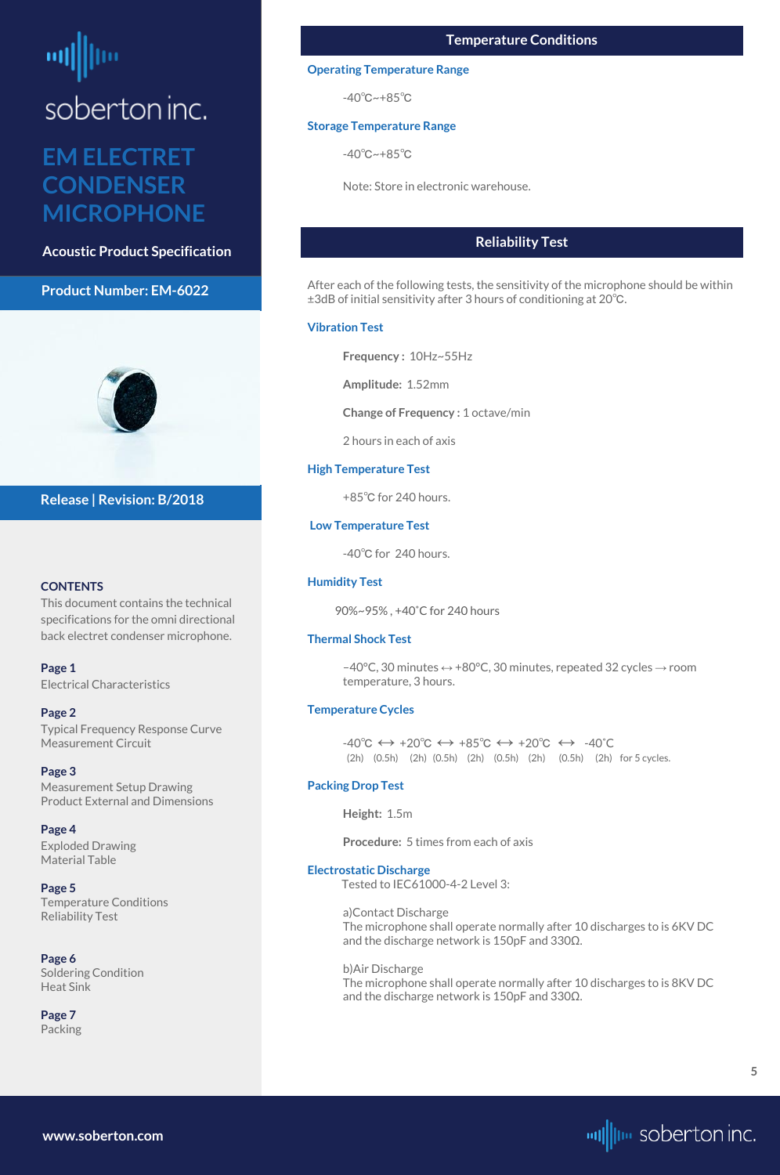<span id="page-4-0"></span>soberton inc.

### **EM ELECTRET CONDENSER MICROPHONE**

**Acoustic Product Specification**

#### **Product Number: EM-6022**



#### **CONTENTS**

This document contains the technical specifications for the omni directional back electret condenser microphone.

**[Page 1](#page-0-0)** [Electrical Characteri](#page-0-0)stics

#### **[Page 2](#page-1-0)**

[Typical Frequency Response Curve](#page-1-0) [Measurement Circuit](#page-1-0)

#### **[Page 3](#page-2-0)**

[Measurement Setup Drawing](#page-2-0) [Product External and Dimensions](#page-2-0)

**[Page 4](#page-3-0)** [Exploded Drawing](#page-3-0)  [Material Table](#page-3-0)

#### **Page 5** Temperature Conditions Reliability Test

#### **[Page 6](#page-5-0)** [Soldering Condition](#page-5-0) [Heat Sink](#page-5-0)

**[Page](#page-6-0) 7** [Packing](#page-6-0)

#### **Release | Revision: B/2018**

 $-40^{\circ}$ C, 30 minutes ↔ +80 $^{\circ}$ C, 30 minutes, repeated 32 cycles → room temperature, 3 hours.

#### **www.soberton.com**



#### **Reliability Test**

 $-40^{\circ}C \leftrightarrow +20^{\circ}C \leftrightarrow +85^{\circ}C \leftrightarrow +20^{\circ}C \leftrightarrow -40^{\circ}C$ (2h) (0.5h) (2h) (0.5h) (2h) (0.5h) (2h) (0.5h) (2h) for 5 cycles.

After each of the following tests, the sensitivity of the microphone should be within ±3dB of initial sensitivity after 3 hours of conditioning at 20℃.

#### **Vibration Test**

**Frequency :** 10Hz~55Hz

**Amplitude:** 1.52mm

**Change of Frequency :** 1 octave/min

2 hours in each of axis

#### **High Temperature Test**

+85℃ for 240 hours.

#### **Low Temperature Test**

-40℃ for 240 hours.

#### **Humidity Test**

90%~95% , +40˚C for 240 hours

#### **Thermal Shock Test**

#### **Temperature Cycles**

#### **Packing Drop Test**

**Height:** 1.5m

**Procedure:** 5 times from each of axis

#### **Electrostatic Discharge** Tested to IEC61000-4-2 Level 3:

#### a)Contact Discharge

The microphone shall operate normally after 10 discharges to is 6KV DC and the discharge network is 150pF and 330Ω.

#### b)Air Discharge

The microphone shall operate normally after 10 discharges to is 8KV DC and the discharge network is 150pF and 330Ω.

#### **Temperature Conditions**

#### **Operating Temperature Range**

-40℃~+85℃

#### **Storage Temperature Range**

-40℃~+85℃

Note: Store in electronic warehouse.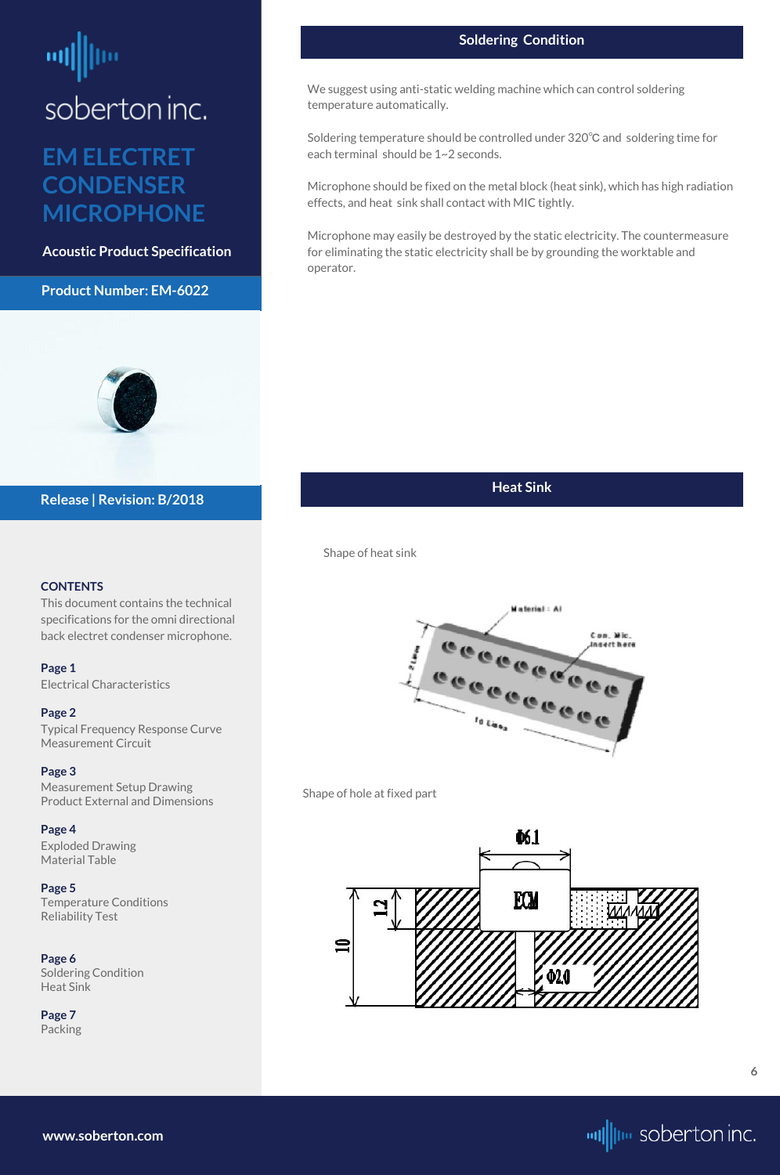# <span id="page-5-0"></span>soberton inc.

## **EM ELECTRET CONDENSER MICROPHONE**

**Acoustic Product Specification**

#### **Product Number: EM-6022**



#### **CONTENTS**

This document contains the technical specifications for the omni directional back electret condenser microphone.

**[Page 1](#page-0-0)** [Electrical Characteri](#page-0-0)stics

#### **[Page 2](#page-1-0)**

[Typical Frequency Response Curve](#page-1-0) [Measurement Circuit](#page-1-0)

#### **[Page 3](#page-2-0)**

[Measurement Setup Drawing](#page-2-0) [Product External and Dimensions](#page-2-0)

**[Page 4](#page-3-0)** [Exploded Drawing](#page-3-0)  [Material Table](#page-3-0)

**[Page 5](#page-4-0)** [Temperature Conditions](#page-4-0) [Reliability Test](#page-4-0)

**Page 6** Soldering Condition Heat Sink

**[Page](#page-6-0) 7** [Packing](#page-6-0)

#### **Release | Revision: B/2018**

**www.soberton.com**



#### **Heat Sink**

**6**

#### **Soldering Condition**

We suggest using anti-static welding machine which can control soldering temperature automatically.

Soldering temperature should be controlled under 320℃ and soldering time for each terminal should be 1~2 seconds.

Microphone should be fixed on the metal block (heat sink), which has high radiation effects, and heat sink shall contact with MIC tightly.

Microphone may easily be destroyed by the static electricity. The countermeasure for eliminating the static electricity shall be by grounding the worktable and operator.

Shape of heat sink



Shape of hole at fixed part